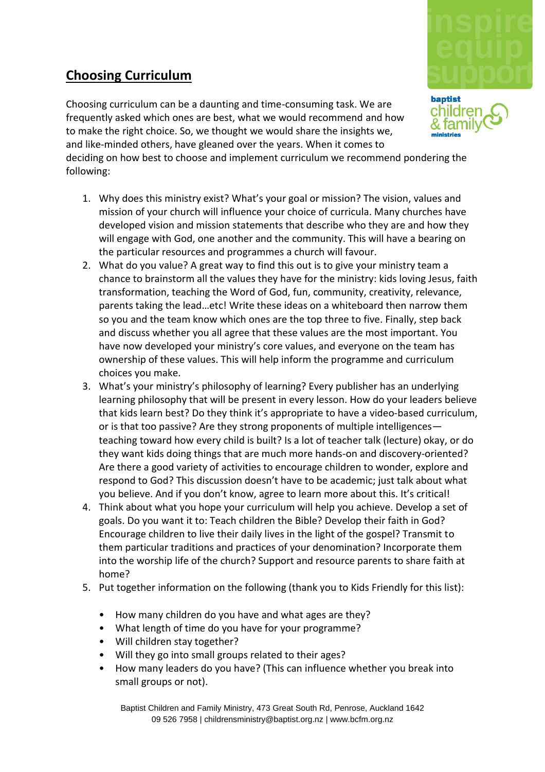## **Choosing Curriculum**

Choosing curriculum can be a daunting and time-consuming task. We are frequently asked which ones are best, what we would recommend and how to make the right choice. So, we thought we would share the insights we, and like-minded others, have gleaned over the years. When it comes to

deciding on how best to choose and implement curriculum we recommend pondering the following:

- 1. Why does this ministry exist? What's your goal or mission? The vision, values and mission of your church will influence your choice of curricula. Many churches have developed vision and mission statements that describe who they are and how they will engage with God, one another and the community. This will have a bearing on the particular resources and programmes a church will favour.
- 2. What do you value? A great way to find this out is to give your ministry team a chance to brainstorm all the values they have for the ministry: kids loving Jesus, faith transformation, teaching the Word of God, fun, community, creativity, relevance, parents taking the lead…etc! Write these ideas on a whiteboard then narrow them so you and the team know which ones are the top three to five. Finally, step back and discuss whether you all agree that these values are the most important. You have now developed your ministry's core values, and everyone on the team has ownership of these values. This will help inform the programme and curriculum choices you make.
- 3. What's your ministry's philosophy of learning? Every publisher has an underlying learning philosophy that will be present in every lesson. How do your leaders believe that kids learn best? Do they think it's appropriate to have a video-based curriculum, or is that too passive? Are they strong proponents of multiple intelligences teaching toward how every child is built? Is a lot of teacher talk (lecture) okay, or do they want kids doing things that are much more hands-on and discovery-oriented? Are there a good variety of activities to encourage children to wonder, explore and respond to God? This discussion doesn't have to be academic; just talk about what you believe. And if you don't know, agree to learn more about this. It's critical!
- 4. Think about what you hope your curriculum will help you achieve. Develop a set of goals. Do you want it to: Teach children the Bible? Develop their faith in God? Encourage children to live their daily lives in the light of the gospel? Transmit to them particular traditions and practices of your denomination? Incorporate them into the worship life of the church? Support and resource parents to share faith at home?
- 5. Put together information on the following (thank you to Kids Friendly for this list):
	- How many children do you have and what ages are they?
	- What length of time do you have for your programme?
	- Will children stay together?
	- Will they go into small groups related to their ages?
	- How many leaders do you have? (This can influence whether you break into small groups or not).